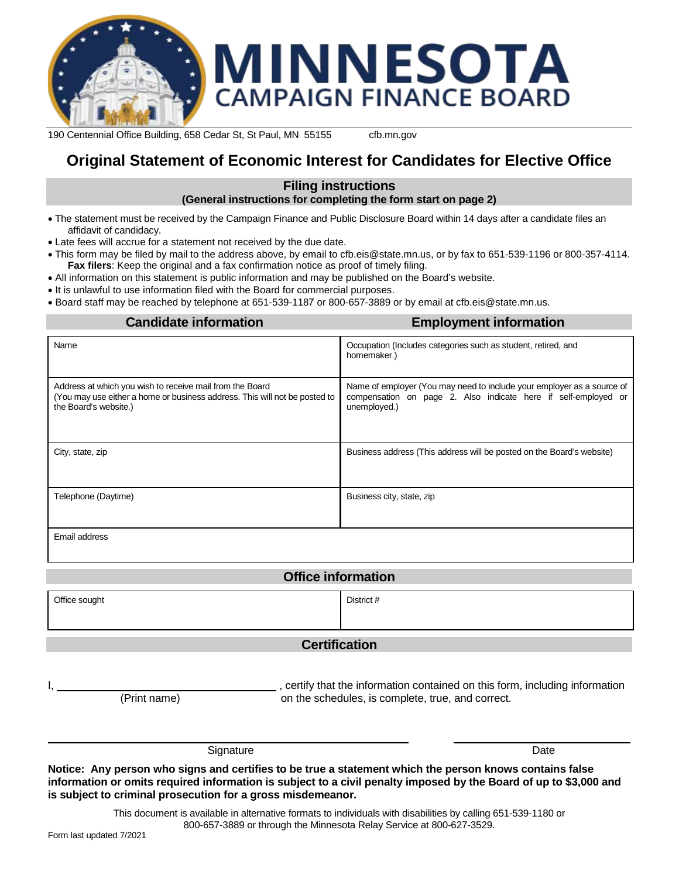

190 Centennial Office Building, 658 Cedar St, St Paul, MN 55155 cfb.mn.gov

# **Original Statement of Economic Interest for Candidates for Elective Office**

**Filing instructions**

**(General instructions for completing the form start on page 2)**

- The statement must be received by the Campaign Finance and Public Disclosure Board within 14 days after a candidate files an affidavit of candidacy.
- Late fees will accrue for a statement not received by the due date.
- This form may be filed by mail to the address above, by email to cfb.eis@state.mn.us, or by fax to 651-539-1196 or 800-357-4114. **Fax filers**: Keep the original and a fax confirmation notice as proof of timely filing.
- All information on this statement is public information and may be published on the Board's website.
- It is unlawful to use information filed with the Board for commercial purposes.
- Board staff may be reached by telephone at 651-539-1187 or 800-657-3889 or by email at cfb.eis@state.mn.us.

 **Candidate information Employment information** Name **Occupation (Includes categories such as student, retired, and**  $\overline{C}$ homemaker.) Address at which you wish to receive mail from the Board (You may use either a home or business address. This will not be posted to the Board's website.) Name of employer (You may need to include your employer as a source of compensation on page 2. Also indicate here if self-employed or unemployed.) City, state, zip **Business address (This address will be posted on the Board's website)** Business address (This address will be posted on the Board's website) Telephone (Daytime) **Business city, state, zip** Email address

## **Office information**

Office sought District #

# **Certification**

I, certify that the information contained on this form, including information (Print name) on the schedules, is complete, true, and correct.

Signature Date Date Date

**Notice: Any person who signs and certifies to be true a statement which the person knows contains false information or omits required information is subject to a civil penalty imposed by the Board of up to \$3,000 and is subject to criminal prosecution for a gross misdemeanor.** 

> This document is available in alternative formats to individuals with disabilities by calling 651-539-1180 or 800-657-3889 or through the Minnesota Relay Service at 800-627-3529.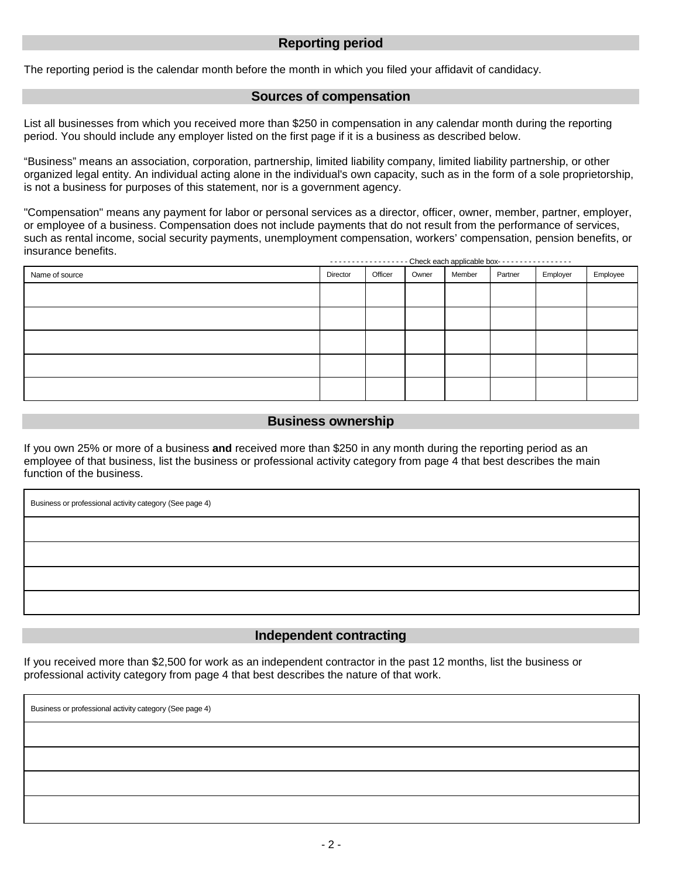## **Reporting period**

The reporting period is the calendar month before the month in which you filed your affidavit of candidacy.

#### **Sources of compensation**

List all businesses from which you received more than \$250 in compensation in any calendar month during the reporting period. You should include any employer listed on the first page if it is a business as described below.

"Business" means an association, corporation, partnership, limited liability company, limited liability partnership, or other organized legal entity. An individual acting alone in the individual's own capacity, such as in the form of a sole proprietorship, is not a business for purposes of this statement, nor is a government agency.

"Compensation" means any payment for labor or personal services as a director, officer, owner, member, partner, employer, or employee of a business. Compensation does not include payments that do not result from the performance of services, such as rental income, social security payments, unemployment compensation, workers' compensation, pension benefits, or insurance benefits.

|                | --------------- |         |       |        | - Check each applicable box- - - - - - - - - - - - - - - - |          |          |
|----------------|-----------------|---------|-------|--------|------------------------------------------------------------|----------|----------|
| Name of source | Director        | Officer | Owner | Member | Partner                                                    | Employer | Employee |
|                |                 |         |       |        |                                                            |          |          |
|                |                 |         |       |        |                                                            |          |          |
|                |                 |         |       |        |                                                            |          |          |
|                |                 |         |       |        |                                                            |          |          |
|                |                 |         |       |        |                                                            |          |          |
|                |                 |         |       |        |                                                            |          |          |

### **Business ownership**

If you own 25% or more of a business **and** received more than \$250 in any month during the reporting period as an employee of that business, list the business or professional activity category from page 4 that best describes the main function of the business.

| Business or professional activity category (See page 4) |  |  |  |  |  |
|---------------------------------------------------------|--|--|--|--|--|
|                                                         |  |  |  |  |  |
|                                                         |  |  |  |  |  |
|                                                         |  |  |  |  |  |
|                                                         |  |  |  |  |  |

# **Independent contracting**

If you received more than \$2,500 for work as an independent contractor in the past 12 months, list the business or professional activity category from page 4 that best describes the nature of that work.

Business or professional activity category (See page 4)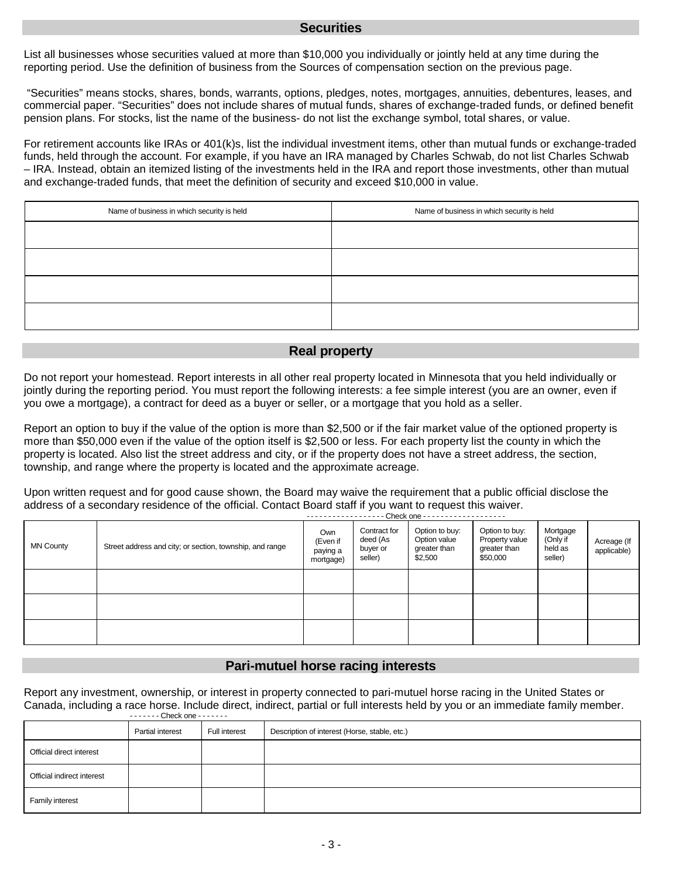#### **Securities**

List all businesses whose securities valued at more than \$10,000 you individually or jointly held at any time during the reporting period. Use the definition of business from the Sources of compensation section on the previous page.

"Securities" means stocks, shares, bonds, warrants, options, pledges, notes, mortgages, annuities, debentures, leases, and commercial paper. "Securities" does not include shares of mutual funds, shares of exchange-traded funds, or defined benefit pension plans. For stocks, list the name of the business- do not list the exchange symbol, total shares, or value.

For retirement accounts like IRAs or 401(k)s, list the individual investment items, other than mutual funds or exchange-traded funds, held through the account. For example, if you have an IRA managed by Charles Schwab, do not list Charles Schwab – IRA. Instead, obtain an itemized listing of the investments held in the IRA and report those investments, other than mutual and exchange-traded funds, that meet the definition of security and exceed \$10,000 in value.

| Name of business in which security is held | Name of business in which security is held |  |  |  |
|--------------------------------------------|--------------------------------------------|--|--|--|
|                                            |                                            |  |  |  |
|                                            |                                            |  |  |  |
|                                            |                                            |  |  |  |
|                                            |                                            |  |  |  |

## **Real property**

Do not report your homestead. Report interests in all other real property located in Minnesota that you held individually or jointly during the reporting period. You must report the following interests: a fee simple interest (you are an owner, even if you owe a mortgage), a contract for deed as a buyer or seller, or a mortgage that you hold as a seller.

Report an option to buy if the value of the option is more than \$2,500 or if the fair market value of the optioned property is more than \$50,000 even if the value of the option itself is \$2,500 or less. For each property list the county in which the property is located. Also list the street address and city, or if the property does not have a street address, the section, township, and range where the property is located and the approximate acreage.

Upon written request and for good cause shown, the Board may waive the requirement that a public official disclose the address of a secondary residence of the official. Contact Board staff if you want to request this waiver. - - - - - - - - - - - - - - - - - - Check one - - - - - - - - - - - - - - - - - - -

|                  | 0110011 0110                                             |                                          |                                                 |                                                           |                                                              |                                            |                            |
|------------------|----------------------------------------------------------|------------------------------------------|-------------------------------------------------|-----------------------------------------------------------|--------------------------------------------------------------|--------------------------------------------|----------------------------|
| <b>MN County</b> | Street address and city; or section, township, and range | Own<br>(Even if<br>paying a<br>mortgage) | Contract for<br>deed (As<br>buyer or<br>seller) | Option to buy:<br>Option value<br>greater than<br>\$2,500 | Option to buy:<br>Property value<br>greater than<br>\$50,000 | Mortgage<br>(Only if<br>held as<br>seller) | Acreage (If<br>applicable) |
|                  |                                                          |                                          |                                                 |                                                           |                                                              |                                            |                            |
|                  |                                                          |                                          |                                                 |                                                           |                                                              |                                            |                            |
|                  |                                                          |                                          |                                                 |                                                           |                                                              |                                            |                            |

#### **Pari-mutuel horse racing interests**

Report any investment, ownership, or interest in property connected to pari-mutuel horse racing in the United States or Canada, including a race horse. Include direct, indirect, partial or full interests held by you or an immediate family member. - - - - - - - Check one - - - - - - -

|                            | Partial interest | Full interest | Description of interest (Horse, stable, etc.) |
|----------------------------|------------------|---------------|-----------------------------------------------|
| Official direct interest   |                  |               |                                               |
| Official indirect interest |                  |               |                                               |
| Family interest            |                  |               |                                               |